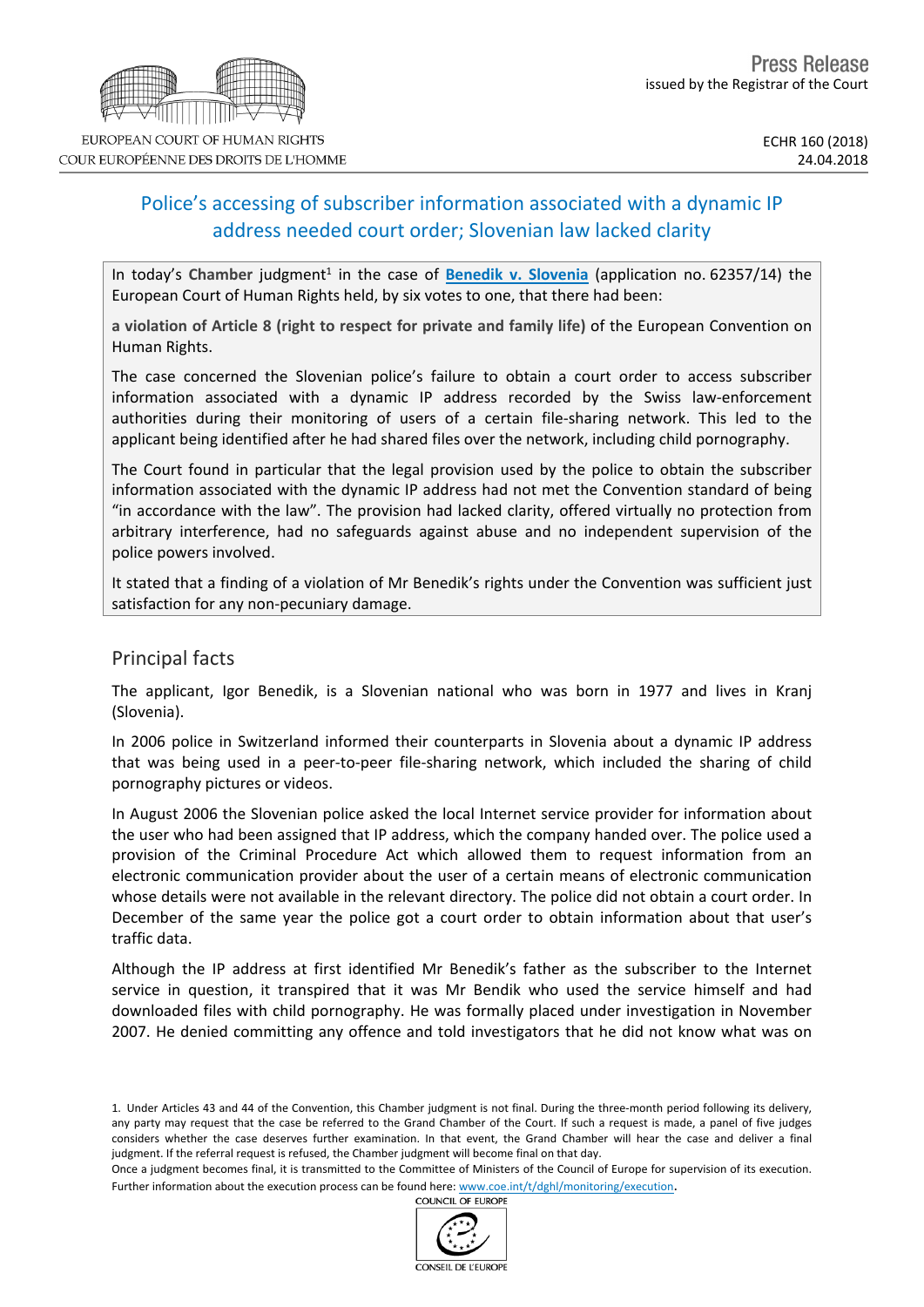# Police's accessing of subscriber information associated with a dynamic IP address needed court order; Slovenian law lacked clarity

In today's Chamber judgment<sup>1</sup> in the case of **Benedik v. [Slovenia](http://hudoc.echr.coe.int/eng?i=001-182455)** (application no. 62357/14) the European Court of Human Rights held, by six votes to one, that there had been:

**a violation of Article 8 (right to respect for private and family life)** of the European Convention on Human Rights.

The case concerned the Slovenian police's failure to obtain a court order to access subscriber information associated with a dynamic IP address recorded by the Swiss law-enforcement authorities during their monitoring of users of a certain file-sharing network. This led to the applicant being identified after he had shared files over the network, including child pornography.

The Court found in particular that the legal provision used by the police to obtain the subscriber information associated with the dynamic IP address had not met the Convention standard of being "in accordance with the law". The provision had lacked clarity, offered virtually no protection from arbitrary interference, had no safeguards against abuse and no independent supervision of the police powers involved.

It stated that a finding of a violation of Mr Benedik's rights under the Convention was sufficient just satisfaction for any non-pecuniary damage.

### Principal facts

The applicant, Igor Benedik, is a Slovenian national who was born in 1977 and lives in Kranj (Slovenia).

In 2006 police in Switzerland informed their counterparts in Slovenia about a dynamic IP address that was being used in a peer-to-peer file-sharing network, which included the sharing of child pornography pictures or videos.

In August 2006 the Slovenian police asked the local Internet service provider for information about the user who had been assigned that IP address, which the company handed over. The police used a provision of the Criminal Procedure Act which allowed them to request information from an electronic communication provider about the user of a certain means of electronic communication whose details were not available in the relevant directory. The police did not obtain a court order. In December of the same year the police got a court order to obtain information about that user's traffic data.

Although the IP address at first identified Mr Benedik's father as the subscriber to the Internet service in question, it transpired that it was Mr Bendik who used the service himself and had downloaded files with child pornography. He was formally placed under investigation in November 2007. He denied committing any offence and told investigators that he did not know what was on





<sup>1.</sup> Under Articles 43 and 44 of the Convention, this Chamber judgment is not final. During the three-month period following its delivery, any party may request that the case be referred to the Grand Chamber of the Court. If such a request is made, a panel of five judges considers whether the case deserves further examination. In that event, the Grand Chamber will hear the case and deliver a final judgment. If the referral request is refused, the Chamber judgment will become final on that day.

Once a judgment becomes final, it is transmitted to the Committee of Ministers of the Council of Europe for supervision of its execution. Further information about the execution process can be found here: [www.coe.int/t/dghl/monitoring/execution](http://www.coe.int/t/dghl/monitoring/execution).<br>COUNCIL OF FUROPE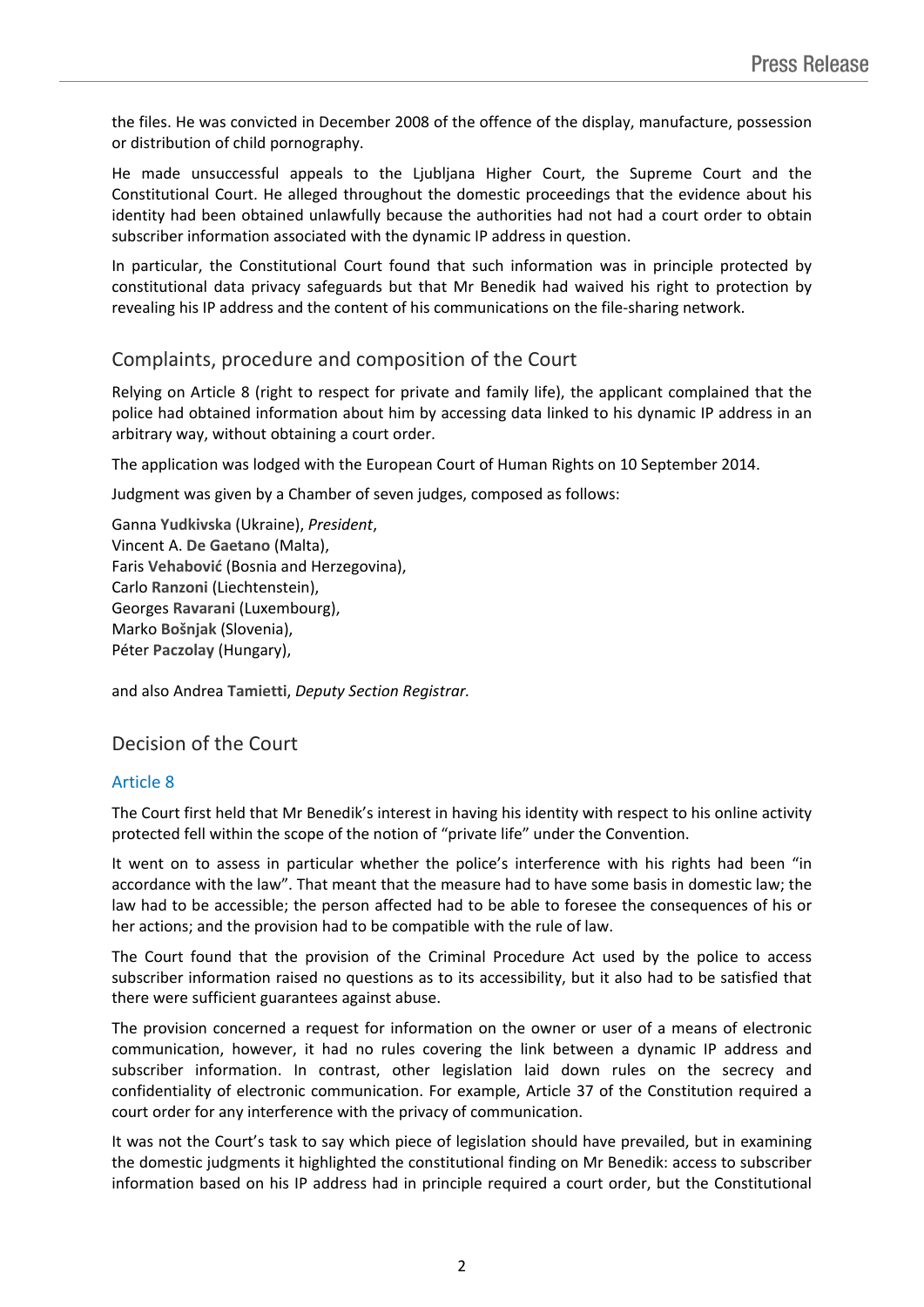the files. He was convicted in December 2008 of the offence of the display, manufacture, possession or distribution of child pornography.

He made unsuccessful appeals to the Ljubljana Higher Court, the Supreme Court and the Constitutional Court. He alleged throughout the domestic proceedings that the evidence about his identity had been obtained unlawfully because the authorities had not had a court order to obtain subscriber information associated with the dynamic IP address in question.

In particular, the Constitutional Court found that such information was in principle protected by constitutional data privacy safeguards but that Mr Benedik had waived his right to protection by revealing his IP address and the content of his communications on the file-sharing network.

# Complaints, procedure and composition of the Court

Relying on Article 8 (right to respect for private and family life), the applicant complained that the police had obtained information about him by accessing data linked to his dynamic IP address in an arbitrary way, without obtaining a court order.

The application was lodged with the European Court of Human Rights on 10 September 2014.

Judgment was given by a Chamber of seven judges, composed as follows:

Ganna **Yudkivska** (Ukraine), *President*, Vincent A. **De Gaetano** (Malta), Faris **Vehabović** (Bosnia and Herzegovina), Carlo **Ranzoni** (Liechtenstein), Georges **Ravarani** (Luxembourg), Marko **Bošnjak** (Slovenia), Péter **Paczolay** (Hungary),

and also Andrea **Tamietti**, *Deputy Section Registrar.*

## Decision of the Court

#### Article 8

The Court first held that Mr Benedik's interest in having his identity with respect to his online activity protected fell within the scope of the notion of "private life" under the Convention.

It went on to assess in particular whether the police's interference with his rights had been "in accordance with the law". That meant that the measure had to have some basis in domestic law; the law had to be accessible; the person affected had to be able to foresee the consequences of his or her actions; and the provision had to be compatible with the rule of law.

The Court found that the provision of the Criminal Procedure Act used by the police to access subscriber information raised no questions as to its accessibility, but it also had to be satisfied that there were sufficient guarantees against abuse.

The provision concerned a request for information on the owner or user of a means of electronic communication, however, it had no rules covering the link between a dynamic IP address and subscriber information. In contrast, other legislation laid down rules on the secrecy and confidentiality of electronic communication. For example, Article 37 of the Constitution required a court order for any interference with the privacy of communication.

It was not the Court's task to say which piece of legislation should have prevailed, but in examining the domestic judgments it highlighted the constitutional finding on Mr Benedik: access to subscriber information based on his IP address had in principle required a court order, but the Constitutional